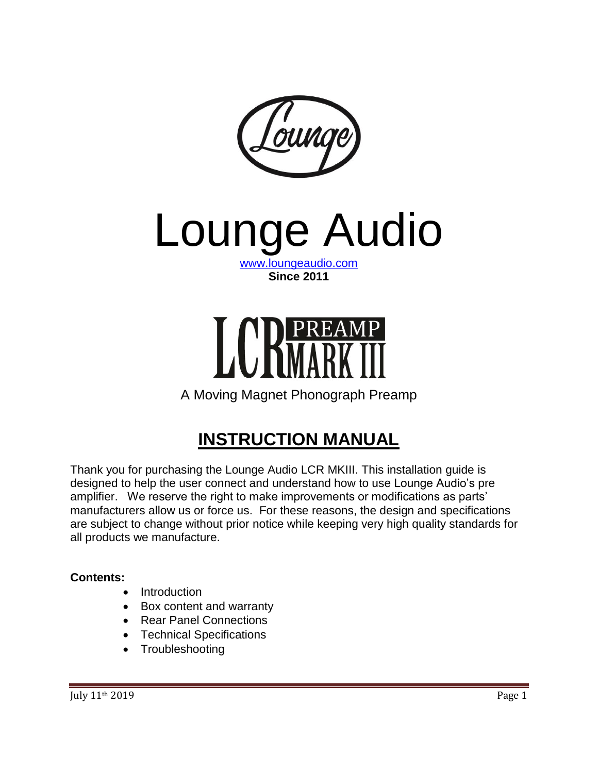

Lounge Audio

[www.loungeaudio.com](http://www.loungeaudio.com/) **Since 2011**



A Moving Magnet Phonograph Preamp

# **INSTRUCTION MANUAL**

Thank you for purchasing the Lounge Audio LCR MKIII. This installation guide is designed to help the user connect and understand how to use Lounge Audio's pre amplifier. We reserve the right to make improvements or modifications as parts' manufacturers allow us or force us. For these reasons, the design and specifications are subject to change without prior notice while keeping very high quality standards for all products we manufacture.

#### **Contents:**

- Introduction
- Box content and warranty
- Rear Panel Connections
- Technical Specifications
- Troubleshooting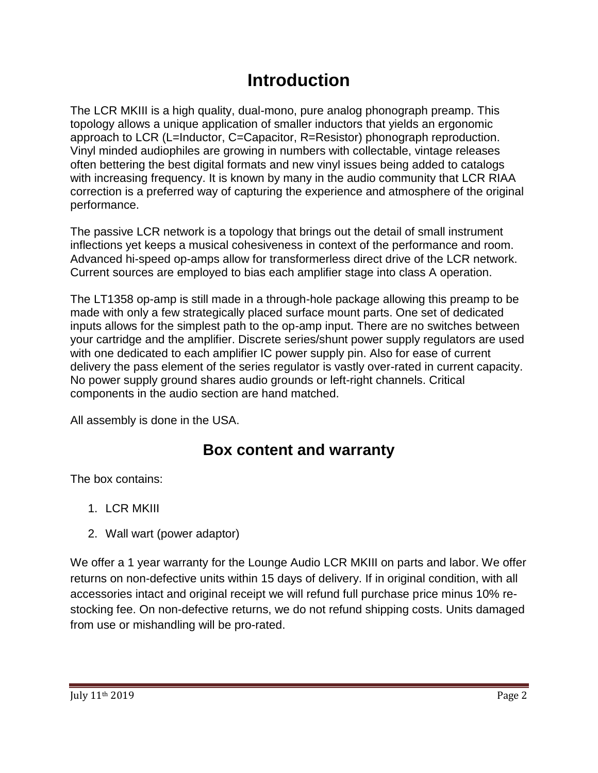# **Introduction**

The LCR MKIII is a high quality, dual-mono, pure analog phonograph preamp. This topology allows a unique application of smaller inductors that yields an ergonomic approach to LCR (L=Inductor, C=Capacitor, R=Resistor) phonograph reproduction. Vinyl minded audiophiles are growing in numbers with collectable, vintage releases often bettering the best digital formats and new vinyl issues being added to catalogs with increasing frequency. It is known by many in the audio community that LCR RIAA correction is a preferred way of capturing the experience and atmosphere of the original performance.

The passive LCR network is a topology that brings out the detail of small instrument inflections yet keeps a musical cohesiveness in context of the performance and room. Advanced hi-speed op-amps allow for transformerless direct drive of the LCR network. Current sources are employed to bias each amplifier stage into class A operation.

The LT1358 op-amp is still made in a through-hole package allowing this preamp to be made with only a few strategically placed surface mount parts. One set of dedicated inputs allows for the simplest path to the op-amp input. There are no switches between your cartridge and the amplifier. Discrete series/shunt power supply regulators are used with one dedicated to each amplifier IC power supply pin. Also for ease of current delivery the pass element of the series regulator is vastly over-rated in current capacity. No power supply ground shares audio grounds or left-right channels. Critical components in the audio section are hand matched.

All assembly is done in the USA.

# **Box content and warranty**

The box contains:

- 1. LCR MKIII
- 2. Wall wart (power adaptor)

We offer a 1 year warranty for the Lounge Audio LCR MKIII on parts and labor. We offer returns on non-defective units within 15 days of delivery. If in original condition, with all accessories intact and original receipt we will refund full purchase price minus 10% restocking fee. On non-defective returns, we do not refund shipping costs. Units damaged from use or mishandling will be pro-rated.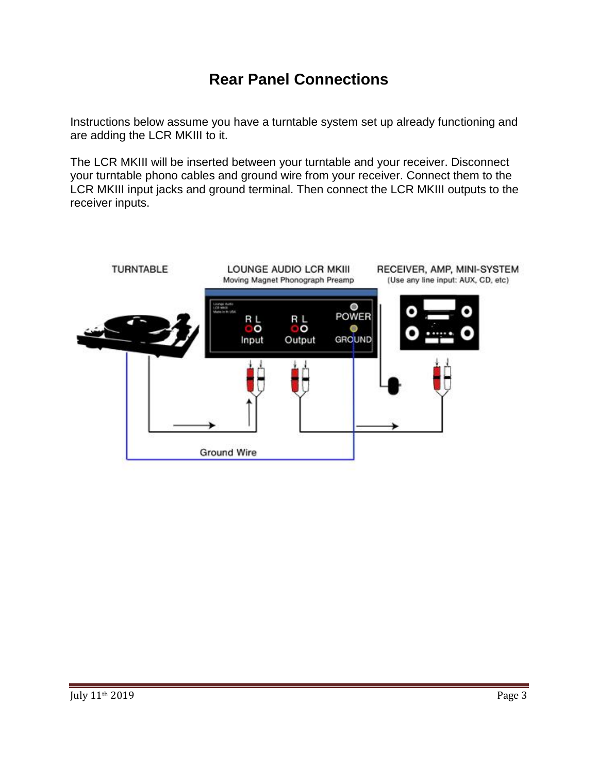# **Rear Panel Connections**

Instructions below assume you have a turntable system set up already functioning and are adding the LCR MKIII to it.

The LCR MKIII will be inserted between your turntable and your receiver. Disconnect your turntable phono cables and ground wire from your receiver. Connect them to the LCR MKIII input jacks and ground terminal. Then connect the LCR MKIII outputs to the receiver inputs.

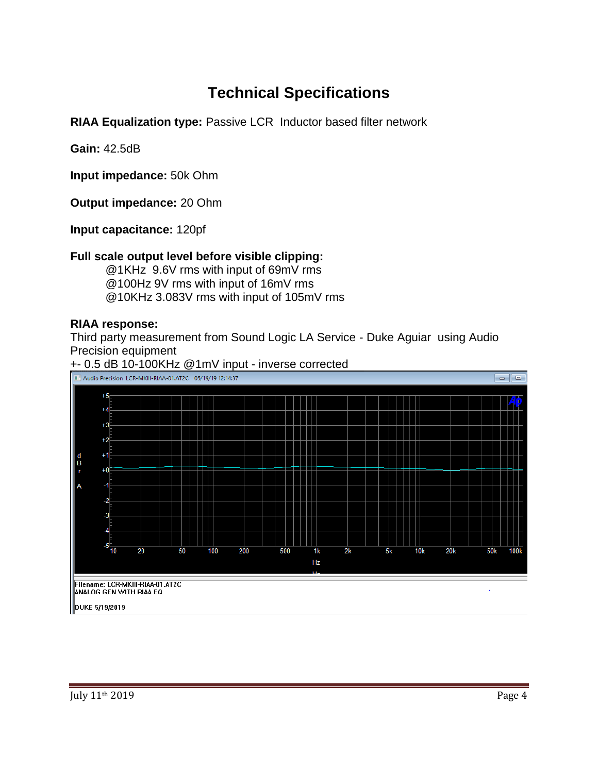## **Technical Specifications**

**RIAA Equalization type:** Passive LCR Inductor based filter network

**Gain:** 42.5dB

**Input impedance:** 50k Ohm

**Output impedance:** 20 Ohm

**Input capacitance:** 120pf

#### **Full scale output level before visible clipping:**

@1KHz 9.6V rms with input of 69mV rms @100Hz 9V rms with input of 16mV rms @10KHz 3.083V rms with input of 105mV rms

#### **RIAA response:**

Third party measurement from Sound Logic LA Service - Duke Aguiar using Audio Precision equipment



+- 0.5 dB 10-100KHz @1mV input - inverse corrected<br>Daudio Precision LCR-MKIII-RIAA-01.AT2C 05/19/1912:14:37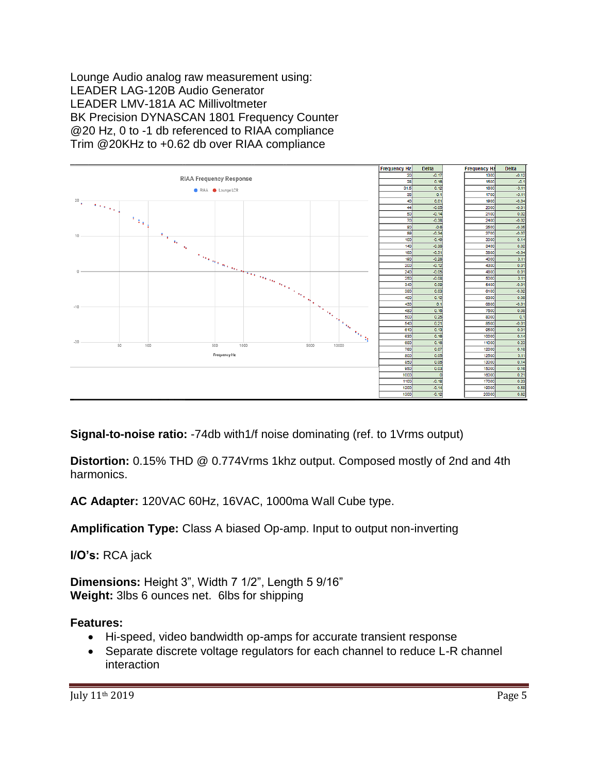Lounge Audio analog raw measurement using: LEADER LAG-120B Audio Generator LEADER LMV-181A AC Millivoltmeter BK Precision DYNASCAN 1801 Frequency Counter @20 Hz, 0 to -1 db referenced to RIAA compliance Trim @20KHz to +0.62 db over RIAA compliance



**Signal-to-noise ratio:** -74db with1/f noise dominating (ref. to 1Vrms output)

**Distortion:** 0.15% THD @ 0.774Vrms 1khz output. Composed mostly of 2nd and 4th harmonics.

**AC Adapter:** 120VAC 60Hz, 16VAC, 1000ma Wall Cube type.

**Amplification Type:** Class A biased Op-amp. Input to output non-inverting

**I/O's:** RCA jack

**Dimensions:** Height 3", Width 7 1/2", Length 5 9/16" **Weight:** 3lbs 6 ounces net. 6lbs for shipping

#### **Features:**

- Hi-speed, video bandwidth op-amps for accurate transient response
- Separate discrete voltage regulators for each channel to reduce L-R channel interaction